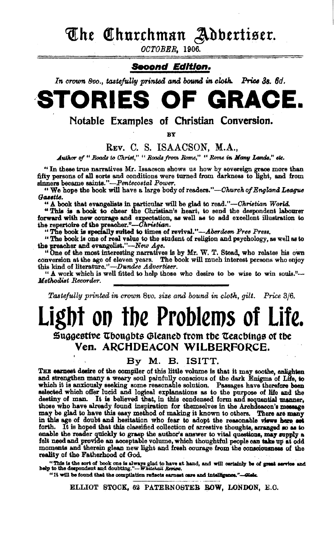The Churchman Adbertiser.

OCTOBER, 1906.

#### Second Edition.

In crown 8vo., tastefully printed and bound in cloth. Price 3s. 6d.

#### S OF GRACE. RIE STO

Notable Examples of Christian Conversion.

BY

#### Rev. C. S. ISAACSON, M.A.,

Author of " Roads to Christ," " Roads from Rome," " Rome in Many Lands," etc.

"In these true narratives Mr. Isaacson shows us how by sovereign grace more than fifty persons of all sorts and conditions were turned from darkness to light, and from sinners became saints."-Pentecostal Power,

" We hope the book will have a large body of readers."—Church of England League Gassite.

" A book that evangelists in particular will be glad to read."-Christian World.

"This is a book to cheer the Christian's heart, to send the despondent labourer forward with new courage and expectation, as well as to add excellent illustration to the prescher."--Christian.

"The book is specially suited to times of revival."-Aberdeen Free Press.

"The book is one of real value to the student of religion and psychology, as well as to the preacher and evangelist."-New Age.

"One of the most interesting narratives is by Mr. W. T. Stead, who relates his own conversion at the age of eleven years. The book will much interest persons who enjoy this kind of literature."-Dundee Advertiser.

" A work which is well fitted to help those who desire to be wise to win souls."-Methodist Recorder.

Tastefully printed in crown 8vo. size and bound in cloth, gilt. Price 3/6.

# Light on the Problems of Life.

Suggestive Thoughts Gleaned from the Teachings of the Ven. ARCHDEACON WILBERFORCE.

#### By M. B. ISITT.

THE carnest desire of the compiler of this little volume is that it may soothe, anlighten and strengthen many a weary soul painfully conscious of the dark Enigma of Life, to which it is anxiously seeking some reasonable so destiny of man. It is believed that, in this condensed form and sequential manner, those who have already found inspiration for themselves in the Archdeacon's message may be glad to have this easy method of making it known to others. There are many in this age of doubt and hesitation who fear to adopt the reasonable views here set forth. It is hoped that this classified collection of arrestive thoughts, arranged so as to enable the reader quickly to grasp the author's answer to vital questions, may supply a felt need and provide an acceptable volume, which thoughtful people can take up at odd moments and therein glean new light and fresh courage from the consciousness of the reality of the Fatherhood of God.

"This is the sort of book one is always glad to have at hand, and will certainly be of great service and help to the despondent and doubting."--- Whitehall Review.

"It will be found that the compilation reflects earnest care and intelligence."-Gleba

ELLIOT STOCK, 62 PATERNOSTER ROW, LONDON, E.C.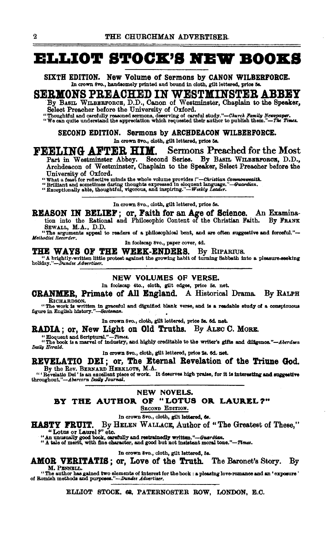## **ELLIOT STOCK'S NEW BOOKS**

SIXTH EDITION. New Volume of Sermons by CANON WILBERFORCE. In crown 8vo., handsomely printed and bound in cloth, gilt lettered, price 5s.

## <u>SERMONS PREACHED IN WESTMINSTER ABBEY</u>

By BASIL WILBERFORCE, D.D., Canon of Westminster, Chaplain to the Speaker,

Select Preacher before the University of Oxford.<br>"Thoughtful and carefully reasoned sermons, deserving of careful study."—Church Family Newspaper.<br>"We can quite understand the appreciation which requested their author to p

SECOND EDITION. Sermons by ARCHDEACON WILBERFORCE.

In crown 8vo., cloth, gilt lettered, price 5s.

FEELING AFTER HIM. Sermons Preached for the Most

Part in Westminster Abbey. Second Series. By BASIL WILBERFORCE, D.D., Archdeacon of Westminster, Chaplain to the Speaker, Select Preacher before the University of Oxford.

"University or reflective minds the whole volume provides!"—Christian Commonwealth.<br>"Brilliant and sometimes daring thoughts expressed in eloquent language."—Guardian.<br>"Exceptionally able, thoughtful, vigorous, and inspiri

In crown 8vo., cloth, gilt lettered, price 5s.

REASON IN BELIEF; or, Faith for an Age of Science. An Examination into the Rational and Philosophic Content of the Christian Faith. By FRANK SEWALL, M.A., D.D.

"The arguments appeal to readers of a philosophical bent, and are often suggestive and forceful."--Methodist Recorder.

In foolscap 8vo., paper cover, 4d.

THE WAYS OF THE WEEK-ENDERS. By RIPARIUS.

The structure of the protest against the growing habit of turning Sabbath into a pleasure-seeking holiday."--Dundee Advertiser.

#### NEW VOLUMES OF VERSE.

In foolscap 4to., cloth, gilt edges, price 5s. net.

**CRANMER, Primate of All England.** A Historical Drama. By RALPH RICHARDSON.

"The work is written in graceful and dignified blank verse, and is a readable study of a conspicuous figure in English history."-Scotsman.

In crown 8vo., cloth, gilt lettered, price 3s. 6d. net.

RADIA; or, New Light on Old Truths. By ALEC C. MORE.

"Eloquent and Scriptural."-Times.

"The book is a marvel of industry, and highly creditable to the writer's gifts and diligence."-Aberdeen Daily Herald.

#### In crown 8vo., cloth, gilt lettered, price 2s. 6d. net.

REVELATIO DEI; or, The Eternal Revelation of the Triune God.

By the Rev. BERNARD HERKLOTS, M.A.<br>
"'Revelatio Del' is an excellent piece of work. It deserves high praise, for it is interesting and suggestive<br>
throughout."-Abercorn Daily Journal.

#### NEW NOVELS.

BY THE AUTHOR OF "LOTUS OR LAUREL?"

SECOND EDITION.

In crown 8vo., cloth, gilt lettered, 6s.

By HELEN WALLACE, Author of "The Greatest of These," HASTY FRUIT.

"Lotus or Laurel ?" etc.

"An unusually good book, carefully and restrainedly written."-Guardian.<br>"A tale of merit, with fine character, and good but not insistent moral tone."-Times.

In crown 8vo., cloth, gilt lettered, 5s.

AMOR VERITATIS; or, Love of the Truth. The Baronet's Story. By

M. PENNELL.

"The author has gained two elements of interest for the book : a pleasing love-romance and an 'exposure' of Romish methods and purposes."-Dundee Advertiser.

ELLIOT STOCK, 62, PATERNOSTER ROW, LONDON, E.C.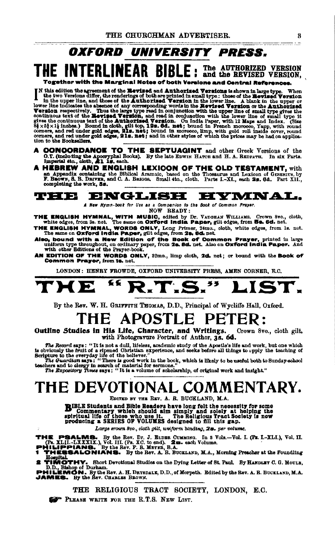# OXFORD UNIVERSITY PRESS.

THE INTERLINEAR BIBLE: The AUTHORIZED VERSION, Togsther with the Marginal Notes of both Versione and Central Referen

Fully edition the agreement of the Review of the throube and Dentred Review and  $\frac{1}{2}$  and the two Versions differ, the renderings of both are printed in small type : those of the Revised Version in the upper line. A b

- 
- **A CONCORDANCE TO THE SEPTUAGINT** and other Greek Versions of the O.T. (including the Apooryphal Books). By the late EDWIN HATCH and H. A. REDPATH. In six Parts.<br> **A HEBREW AND ENGLISH LEXIOON OF THE OLD TESTAMENT**, with a

#### ENGLISH HYMNAL. ⊌ ⊌ ≑ ● ⊃¦

A New Hymn-book for Use as a Companion to the Book of Common Prayer.

NOW READY:

- THE ENGLISH HYMNAL, WITH MUSIC, edited by Dr. VAUGEAN WILLIAMS. Crown 8vo., cloth, white edges, from 3s. net. The same on Oxford India Paper, gilt edges, from 5s. 8d. net.
- The areas represented to the same on Oxford India Paper, glit edges, from 52. 6d. net.<br>THE ENGLISH HYMNAL, WORDS ONLY, Long Primer, 24mo., oloth, white edges, from 1s. net.<br>The same on Oxford India Paper, glit edges, from
- Also, bound with a New Edition of the Book of Common Prayer, printed in large<br>uniform type throughout, on ordinary paper, from 2a. 8d. net. Also on Oxford India Paper. And<br>with other Editions of the Prayer-book.
- AN EDITION OF THE WORDS ONLY, 32mo., limp oloth, 2d. net; or bound with the Book of Common Prayer, from 12. net.

LONDON: HENRY FROWDE, OXFORD UNIVERSITY PRESS, AMEN CORNER, E.C.

#### ≤€ 7. 55 ME 2. T ID.

By the Rev. W. H. GRIFFITH THOMAS, D.D., Principal of Wycliffe Hall, Oxford.

#### **APOSTLE** THE PETER:

Outline Studies in His Life, Character, and Writings. Crown 8vo., cloth gilt. with Photogravure Portrait of Author, 38. 6d.

The Record says: "It is not a dull, lifeless, academic study of the Apostle's life and work, but one which<br>is obviously the fruit of a ripened Ohristian experience, and seeks before all things to upply the teaching of<br>Scri

# THE DEVOTIONAL COMMENTARY.

EDITED BY THE REV. A. R. BUCKLAND, M.A.

BIBLE Students and Bible Readers have long felt the necessity for some D'Commentary which should aim simply and solely at helping the spiritual life of those who use it. The Religious Tract Society is now producing a SERIES OF VOLUMES designed to fill this gap.

Large erown 8vo., cloth gilt, uniform binding, 2s. per volume.

THE PSALMS. By the Rev. Dr. J. ELDER CUMMING. In 8 Vols.—Vol. I. (PR. I.-XLI.), Vol. II. (PR. I.I.XXII.), Vol. II. (PR. I.I.XXII.), Vol. II. (PR. I.I.XXII.), Vol. II. (PHILIPPIANS. By the Rev. F. B. Marra, B.A.<br>PHILIPPIANS

Economical Section of the New A. A. B. BOSLAND, M.A., Horning Freenost at the Founding<br>2 TIMOTHY. Short Devotional Studies on the Dying Letter of St. Paul. By HARDLEY C. G. MOULE,<br>D.D., M. Bishop of Durham.<br>PHILEMON. By th

THE RELIGIOUS TRACT SOCIETY, LONDON, E.C.

PLEASE WRITE FOR THE R.T.S. NEW LIST.

R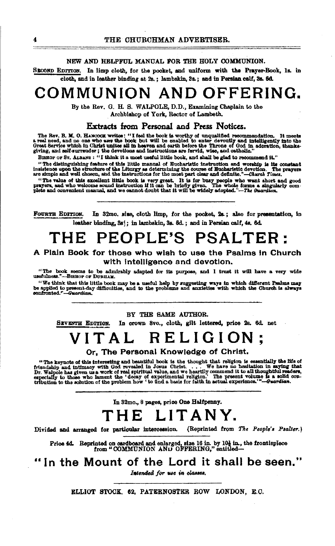#### NEW AND HELPFUL MANUAL FOR THE HOLY COMMUNION.

SECOND EDITION. In limp cloth, for the pooket, and uniform with the Prayer-Book, 1s. in cloth, and in leather binding at 2s.; lambskin, 3s.; and in Persian calf, 3s. 6d.

# COMMUNION AND OFFERING.

By the Rev. G. H. S. WALPOLE, D.D., Examining Chaplain to the Archbishop of York, Rector of Lambeth.

#### Extracts from Personal and Press Notices.

The Rev. B. M. O. HANCOOK writes: "I feel the book is worthy of unqualified recommendation. It meets a real need, and no one who use the book but will be enabled to enter devoutly and intelligently into the Great Service w

BISHOP OF ST. ALBANS : "I think it a most useful little book, and shall be glad to recommend it."

"The distinguishing feature of this little manual of Eucharistic instruction and worship is its constant insistence upon the structure of the Liturgy as determining the course of Bucharistic devotion. The are simple and well chosen, and the instructions for the most part clear and definite."-Church Times. The prayers

"The value of this excellent little book is very great. It is for busy people who want short and good prayers, and who welcome sound instruction if it can be briefly given. The whole forms a singularly complete and conveni

FOURTH EDITION. In 32mo. size, cloth limp, for the pocket, 2s ; also for presentation, in leather binding, 3s): in lambskin, 3s. 6d.; and in Persian calf, 4s. 6d.

# THE PEOPLE'S PSALTER:

#### A Plain Book for those who wish to use the Psalms in Church with intelligence and devotion.

"The book seems to be admirably adapted for its purpose, and I trust it will have a very wide usefulness."---BEHOP OF DURHAM.

"We think that this little book may be a useful help by suggesting ways in which different Psalms may<br>be applied to present day difficulties, and to the problems and anxieties with which the Church is always<br>confronted."-G

BY THE SAME AUTHOR.

In crown 8vo., cloth, gilt lettered, price 2s. 6d. net SEVENTH EDITION.

# VITAL RELIGION:

Or. The Personal Knowledge of Christ.

"The keynote of this interesting and beautiful book is the thought that religion is essentially the life of friendship and intimacy with God revealed in Josus Christ. . . . . We have no healtation in saying that Dr. Well

In 32mo., 8 pages, price One Halfpenny.

# THE LITANY.

Divided and arranged for particular intercession. (Reprinted from The People's Psalter.)

Price 4d. Reprinted on cardboard and enlarged, size 16 in. by  $10\frac{1}{6}$  in, the frontispiece from "COMMUNION AND OFFERING," entitled—

"In the Mount of the Lord it shall be seen."

Intended for use in classes.

ELLIOT STOCK. 62. PATERNOSTER ROW LONDON, E.C.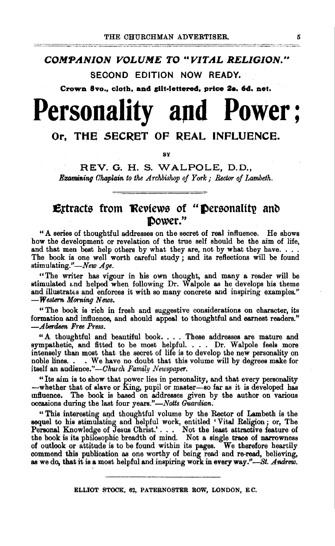### *COMPANION VOLUME* TO *"VITAL RELIGION.,*

SECOND EDITION NOW READY.

Crown 8vo., cloth, and gilt-lettered, price 2a. 6d. net.

# Personality and **Power;**

## Or, THE SECRET OF REAL INFLUENCE.

BY

REV. G. H. S. WALPOLE, D.D., **Examining Chaplain to the Archbishop of York : Rector of Lambeth.** 

## Ertracts from Reviews of "Personality and ]power."

" A series of thoughtful addresses on the secret of real influence. He shows how the development or revelation of the true self should be the aim of life, and that men best help others by what they are, not by what they have. . . . The book is one well worth careful study; and its reflections will be found stimulating."-New Age.

"The writer has vigour in his own thought, and many a reader will be stimulated and helped when following Dr. Walpole as he develops his theme and illustrates and enforces it with so many concrete and inspiring examples." *-Western Morning News.* 

" The book is rich in fresh and suggestive considerations on character, its formation and influence, and should appeal to thoughtful and earnest readers." *-Aberdeen Free Pt·ess.* 

"A thoughtful and beautiful book .... These addresses are mature and sympathetic, and fitted to be most helpful. . . . Dr. Walpole feels more intensely than most that the secret of life is to develop the new personality on noble lines.  $\ldots$  We have no doubt that this volume will by degrees make for . We have no doubt that this volume will by degrees make for itself an audience."-Church Family Newspaper.

"Its aim is to show that power lies in personality, and that every personality -whether that of slave or King, pupil or master-so far as it is developed has tnfluence. The book is based on addresses given by the author on various occasions during the last four *years."-Notts Guardian.* 

" This interesting and thoughtful volume by the Rector of Lambeth is the sequel to his stimulating and helpful work, entitled 'Vital Religion; or, The Personal Knowledge of Jesus Christ.' . . . Not the least attractive feature of the book is its philosophic breadth of mind. Not a single trace of narrowness of outlook or attitude is to be found within its pages. We therefore heartily commend this publication as one worthy of being read and re-read, believing, as we do, that it is a most helpful and inspiring work in everyway."-St. *Andrew.*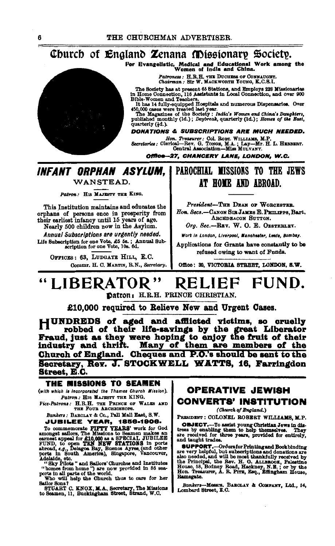## Church of England Zenana Missionary Society.

For Evangelistic, Medical and Educational Work among the Women of India and China.

Patroness: H.R.H. THE DUCHESS OF CONNAUGHT.<br>Chairman: Sir W. MACKWORTH YOUNG, K.C.S.I.

The Society has at present 65 Stations, and Employs 228 Missionaries<br>in Home Connection, 116 Assistants in Local Connection, and over 900<br>Bible-Women and Teachers.

Blue-Women and Teachers.<br>
It has 14 fully-equipped Hospitals and numerous Dispensaries. Over<br>
450,000 cases were treated last year.<br>
The Magazines of the Society: *India's Women and China's Daughters*,<br>
published monthly (

quarterly (4d.).

#### **DONATIONS & SUBSCRIPTIONS ARE MUCH NEEDED.**

Hon. Treasurer: Col. RoBr. WILLIAMS, M.P.<br>Secretaries: Clerical-Rev. G. Towes, M.A.; Lay-Mr. H. L. HEBBERT.<br>Central Association-Miss MULVANY.

Office-27. CHANCERY LANE, LONDON, W.C.

### **INFANT ORPHAN ASYLUM. I PAROCHIAL MISSIONS TO THE JEWS** WANSTEAD.

Patron: HIS MAJESTY THE KING.

This Institution maintains and educates the orphans of persons once in prosperity from<br>their earliest infancy until 15 years of age.

Nearly 500 children now in the Asylum. Annual Subscriptions are urgently needed. Life Subscription for one Vote, £5 5s.; Annual Sub-<br>scription for one Vote, £5 5s.; Annual Sub-

OFFICES: 63. LUDGATE HILL, E.C.

Commr. H. C. MARTIN. R.N., Secretary.

# AT HOME AND ARROAD.

President-THE DEAN OF WORCESTER. Hon. Secs.-CANON SIB JAMES E. PHILIPPS. Rart. ARCHDEACON SUITON

Org. Sec.-REV. W. O. E. OESTERLEY.

Work in London, Liverpool, Manchester, Leeds, Bombay,

Annlications for Grants have constantly to be refused owing to want of Funds.

Office: 39. VICTORIA STREET, LONDON, S.W.

#### **FIIND** LIBERATOR" RELIEF Datron: H.R.H. PRINCE CHRISTIAN.

£10,000 required to Relieve New and Urgent Cases.

HUNDREDS of aged and afflicted victims. so cruelly robbed of their life-savings by the great Liberator Fraud, just as they were hoping to enjoy the fruit of their<br>industry and thrift. Many of them are members of the Church of England. Cheques and P.O.'s should be sent to the Secretary, Rev. J. STOCKWELL WATTS, 16. Farringdon **Street, E.C.** 

#### THE MISSIONS TO SEAMEN

(with which is incorporated the Thames Church Mission). Patron . HIS MAJESTY THE KING.

Vice-Patrons: H.R.H. THE PRINCE OF WALES AND THE FOUR ARCHBISHOPS.

Bankers: BARCLAY & Co., Pall Mall East, S.W. **JUBILEE YEAR, 1856-1906.** 

VOCUME THEAT, 1856-1906.<br>To commemorate PHFTY YEARS work for God<br>amongst sailors, The Missions to Seamen makes an<br>earnest appeal for £10,000 as a SPECIAL JUBILEE<br>FUND, to open TEN NEW STATIONS in ports<br>abroad, e.g., Delago

Aucustice, etc.<br>
"Sky Pilots" and Sailors' Churches and Institutes<br>
"homes from home") are now provided in 86 sea-<br>
ports in all parts of the world.<br>
Who will help the Church thus to care for her<br>
Sailor Sons?<br>
STILAET OF

STUART C. KNOX, M.A., Secretary, The Missions to Seamen, 11, Buckingham Street, Strand, W.C.

## **OPERATIVE JEWISH CONVERTS' INSTITUTION**

(Church of England.)

PRESIDENT : COLONEL ROBERT WILLIAMS M.P.

**OBJECT.**-To assist young Christian Jews in distress by enabling them to help themselves. They are received for three years, provided for entirely, and taught trades.

and taught Fraues.<br>
Superport Fraues.<br>
The very helpful, but subscriptions and donations are<br>
also needed, and will be most thankfully received by<br>
the Frincipal, the Rev. H. O. ALLEROOK, Palestine<br>
House, 58, Bodney Road, Ramsgate.

Bankers-Messrs. BARCLAY & COMPANT, Ltd., 54, Lombard Street, E.C.

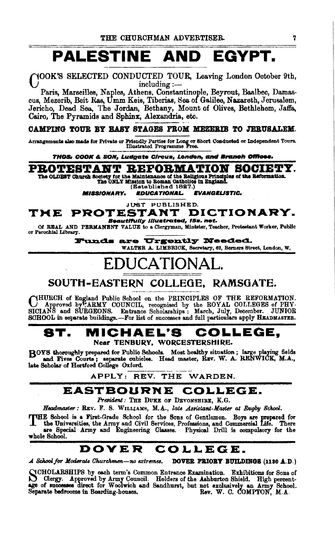# PALESTINE AND EGYPT.

#### YOOK'S SELECTED CONDUCTED TOUR, Leaving London October 9th,  $includeing:$  :-

Paris, Marseilles, Naples, Athens, Constantinople, Beyrout, Baalbec, Damascus, Mezerib, Beit Ras, Umm Keis, Tiberias, Sea of Galilee, Nazareth, Jerusalem, Jericho, Dead Sea, The Jordan, Bethany, Mount of Olives, Bethlehem, Jaffa, Cairo. The Pyramids and Sphinx, Alexandria, etc.

#### CAMPING TOUR BY HASY STAGES FROM MEZERIB TO JERUSALEM.

Arrangements also made for Private or Friendly Parties for Long or Short Conducted or Independent Tours.<br>Illustrated Programme Free.

THOS: COOK & SON, Ludgate Circus, London, and Branch Offices.

PROTESTANT REFORMATION SOCIETY.

The OLDEST Church Society for the Maintenance of the Religious Principles of the Reformation. The ONLY Mission to Roman Catholics in England.

(Established 1827.)

EDUCATIONAL **EVANGELISTIC. MISSIONARY.** 

**JUST PUBLISHED.** 

#### PROTESTANT DICTIONARY. TME Beautifully Illustrated, 15s. net.

Of REAL AND PERMANENT VALUE to a Clergyman, Minister, Teacher, Protestant Worker, Public or Parcohial Library.

Funds are Urgently Needed.

WALTER A. LIMBRICK, Secretary, 62, Berners Street, London, W.

# EDUCATIONAI

## SOUTH-EASTERN COLLEGE, RAMSGATE.

CHURCH of England Public School on the PRINCIPLES OF THE REFORMATION. Approved by ARMY COUNCIL, recognised by the ROYAL COLLEGES of PHYSICIANS and SURGEONS. Entrance Scholarships: March, July, December. JUNIOR SCHOOL in separate buildings.-For list of successes and full particulars apply HEADMASTER.

#### MICHAEL'S COLLEGE, ST. Near TENBURY, WORCESTERSHIRE.

ROYS thoroughly prepared for Public Schools. Most healthy situation; large playing fields and Fives Courts; separate cubicles. Head master, REV. W. A. RENWICK, M.A., late Scholar of Hertford College Oxford.

APPLY: REV. THE WARDEN.

## EASTBOURNE COLLEGE.

President: THE DUKE OF DEVONSHIRE, K.G.

Headmaster: REV. F. S. WILLIAMS, M.A., late Assistant-Master at Rugby School.

THE School is a First-Grade School for the Sons of Gentlemen. Boys are prepared for the Universities, the Army and Civil Services, Professions, and Commercial Life. There see Special Army and Engineering Classes. Physical whole School.

#### DOVER COLLEGE.

DOVER PRIORY BUILDINGS (1130 A.D.) A School for Moderate Churchmen-no extremes.

NCHOLARSHIPS by each term's Common Entrance Examination. Exhibitions for Sons of Clergy. Approved by Army Council. Holders of the Ashburton Shield. High percentage of successes direct for Woolwich and Sandhurst, but not ex

7